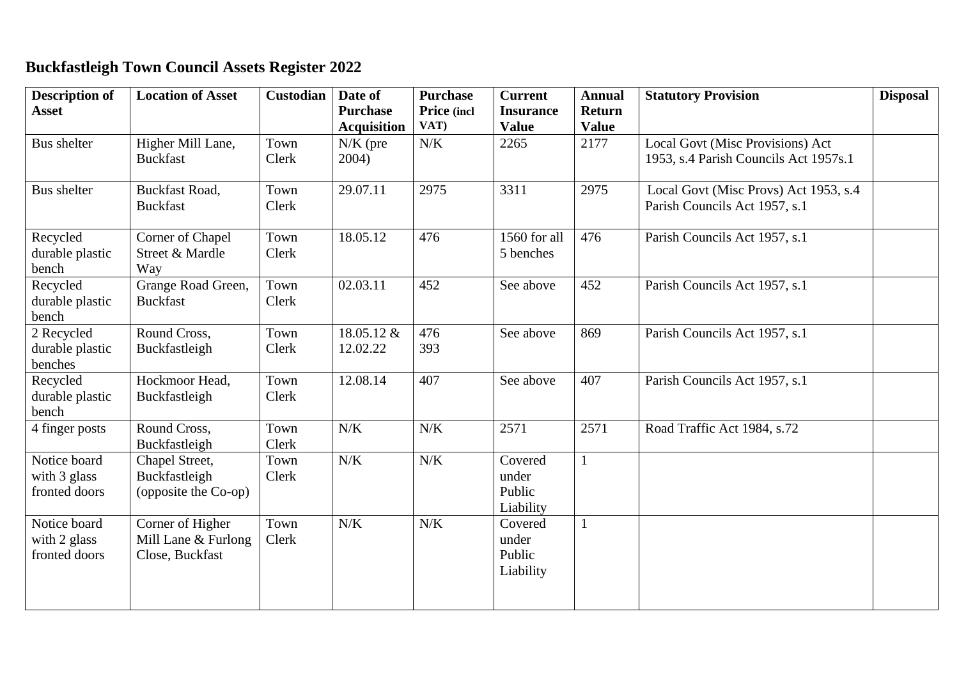## **Buckfastleigh Town Council Assets Register 2022**

| <b>Description of</b><br><b>Asset</b>         | <b>Location of Asset</b>                                   | <b>Custodian</b> | Date of<br><b>Purchase</b>                | <b>Purchase</b><br>Price (incl<br>VAT) | <b>Current</b><br><b>Insurance</b>      | <b>Annual</b><br><b>Return</b> | <b>Statutory Provision</b>                                                | <b>Disposal</b> |
|-----------------------------------------------|------------------------------------------------------------|------------------|-------------------------------------------|----------------------------------------|-----------------------------------------|--------------------------------|---------------------------------------------------------------------------|-----------------|
| Bus shelter                                   | Higher Mill Lane,<br><b>Buckfast</b>                       | Town<br>Clerk    | <b>Acquisition</b><br>$N/K$ (pre<br>2004) | N/K                                    | <b>Value</b><br>2265                    | <b>Value</b><br>2177           | Local Govt (Misc Provisions) Act<br>1953, s.4 Parish Councils Act 1957s.1 |                 |
| <b>Bus</b> shelter                            | <b>Buckfast Road,</b><br><b>Buckfast</b>                   | Town<br>Clerk    | 29.07.11                                  | 2975                                   | 3311                                    | 2975                           | Local Govt (Misc Provs) Act 1953, s.4<br>Parish Councils Act 1957, s.1    |                 |
| Recycled<br>durable plastic<br>bench          | Corner of Chapel<br>Street & Mardle<br>Way                 | Town<br>Clerk    | 18.05.12                                  | 476                                    | 1560 for all<br>5 benches               | 476                            | Parish Councils Act 1957, s.1                                             |                 |
| Recycled<br>durable plastic<br>bench          | Grange Road Green,<br><b>Buckfast</b>                      | Town<br>Clerk    | 02.03.11                                  | 452                                    | See above                               | 452                            | Parish Councils Act 1957, s.1                                             |                 |
| 2 Recycled<br>durable plastic<br>benches      | Round Cross,<br>Buckfastleigh                              | Town<br>Clerk    | 18.05.12 &<br>12.02.22                    | 476<br>393                             | See above                               | 869                            | Parish Councils Act 1957, s.1                                             |                 |
| Recycled<br>durable plastic<br>bench          | Hockmoor Head,<br>Buckfastleigh                            | Town<br>Clerk    | 12.08.14                                  | 407                                    | See above                               | 407                            | Parish Councils Act 1957, s.1                                             |                 |
| 4 finger posts                                | Round Cross,<br>Buckfastleigh                              | Town<br>Clerk    | N/K                                       | N/K                                    | 2571                                    | 2571                           | Road Traffic Act 1984, s.72                                               |                 |
| Notice board<br>with 3 glass<br>fronted doors | Chapel Street,<br>Buckfastleigh<br>(opposite the Co-op)    | Town<br>Clerk    | $N/K$                                     | $N/K$                                  | Covered<br>under<br>Public<br>Liability | $\mathbf{1}$                   |                                                                           |                 |
| Notice board<br>with 2 glass<br>fronted doors | Corner of Higher<br>Mill Lane & Furlong<br>Close, Buckfast | Town<br>Clerk    | $N/K$                                     | $N/K$                                  | Covered<br>under<br>Public<br>Liability | $\mathbf{1}$                   |                                                                           |                 |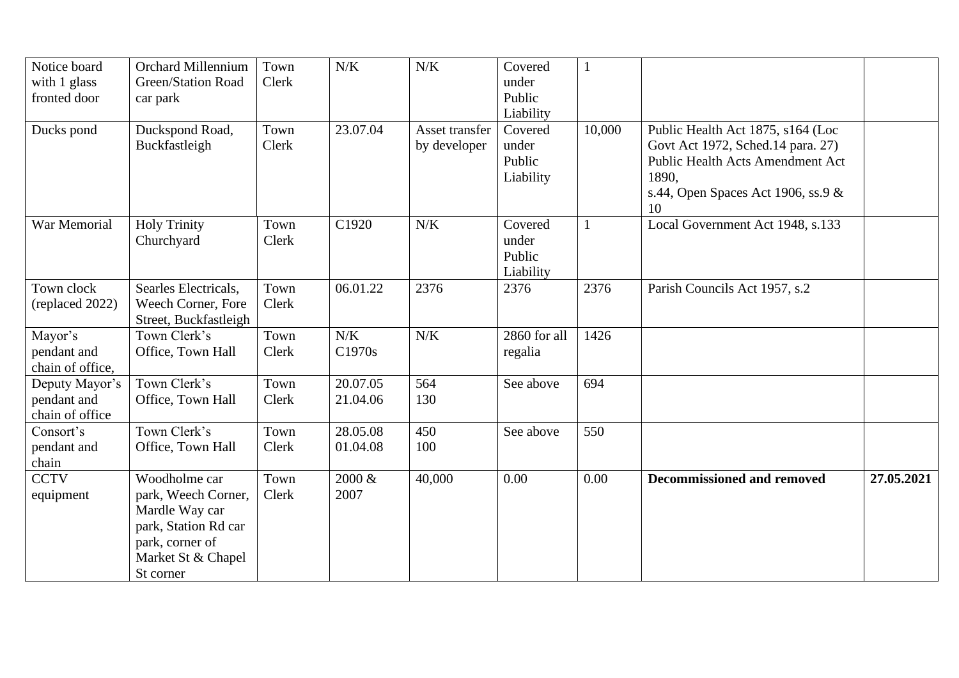| Notice board     | <b>Orchard Millennium</b> | Town  | N/K       | N/K            | Covered      | $\mathbf{1}$ |                                         |            |
|------------------|---------------------------|-------|-----------|----------------|--------------|--------------|-----------------------------------------|------------|
| with 1 glass     | <b>Green/Station Road</b> | Clerk |           |                | under        |              |                                         |            |
| fronted door     | car park                  |       |           |                | Public       |              |                                         |            |
|                  |                           |       |           |                | Liability    |              |                                         |            |
| Ducks pond       | Duckspond Road,           | Town  | 23.07.04  | Asset transfer | Covered      | 10,000       | Public Health Act 1875, s164 (Loc       |            |
|                  | Buckfastleigh             | Clerk |           | by developer   | under        |              | Govt Act 1972, Sched.14 para. 27)       |            |
|                  |                           |       |           |                | Public       |              | <b>Public Health Acts Amendment Act</b> |            |
|                  |                           |       |           |                | Liability    |              | 1890.                                   |            |
|                  |                           |       |           |                |              |              | s.44, Open Spaces Act 1906, ss.9 &      |            |
|                  |                           |       |           |                |              |              | 10                                      |            |
| War Memorial     | <b>Holy Trinity</b>       | Town  | C1920     | N/K            | Covered      | $\mathbf{1}$ | Local Government Act 1948, s.133        |            |
|                  | Churchyard                | Clerk |           |                | under        |              |                                         |            |
|                  |                           |       |           |                | Public       |              |                                         |            |
|                  |                           |       |           |                | Liability    |              |                                         |            |
| Town clock       | Searles Electricals,      | Town  | 06.01.22  | 2376           | 2376         | 2376         | Parish Councils Act 1957, s.2           |            |
| (replaced 2022)  | Weech Corner, Fore        | Clerk |           |                |              |              |                                         |            |
|                  | Street, Buckfastleigh     |       |           |                |              |              |                                         |            |
| Mayor's          | Town Clerk's              | Town  | N/K       | N/K            | 2860 for all | 1426         |                                         |            |
| pendant and      | Office, Town Hall         | Clerk | C1970s    |                | regalia      |              |                                         |            |
| chain of office, |                           |       |           |                |              |              |                                         |            |
| Deputy Mayor's   | Town Clerk's              | Town  | 20.07.05  | 564            | See above    | 694          |                                         |            |
| pendant and      | Office, Town Hall         | Clerk | 21.04.06  | 130            |              |              |                                         |            |
| chain of office  |                           |       |           |                |              |              |                                         |            |
| Consort's        | Town Clerk's              | Town  | 28.05.08  | 450            | See above    | 550          |                                         |            |
| pendant and      | Office, Town Hall         | Clerk | 01.04.08  | 100            |              |              |                                         |            |
| chain            |                           |       |           |                |              |              |                                         |            |
| <b>CCTV</b>      | Woodholme car             | Town  | $2000 \&$ | 40,000         | 0.00         | 0.00         | <b>Decommissioned and removed</b>       | 27.05.2021 |
| equipment        | park, Weech Corner,       | Clerk | 2007      |                |              |              |                                         |            |
|                  | Mardle Way car            |       |           |                |              |              |                                         |            |
|                  | park, Station Rd car      |       |           |                |              |              |                                         |            |
|                  | park, corner of           |       |           |                |              |              |                                         |            |
|                  | Market St & Chapel        |       |           |                |              |              |                                         |            |
|                  | St corner                 |       |           |                |              |              |                                         |            |